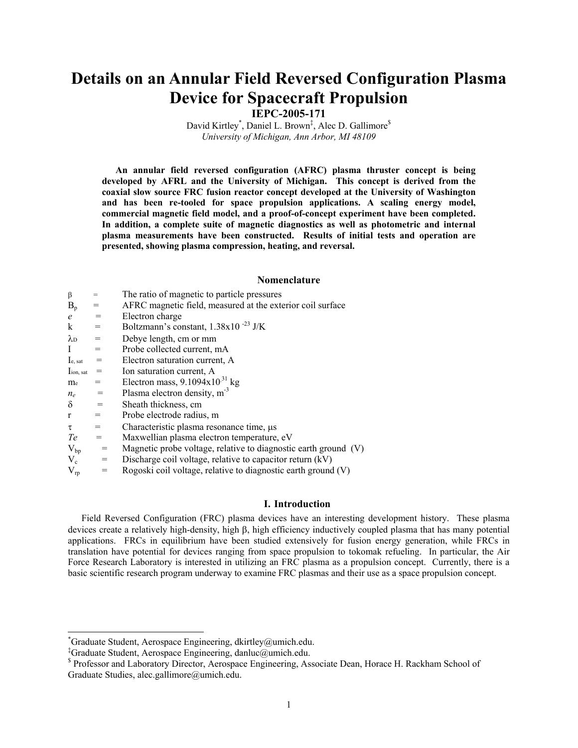# **Details on an Annular Field Reversed Configuration Plasma Device for Spacecraft Propulsion**

**IEPC-2005-171**

David Kirtley<sup>\*</sup>, Daniel L. Brown<sup>‡</sup>, Alec D. Gallimore<sup>\$</sup> *University of Michigan, Ann Arbor, MI 48109* 

**An annular field reversed configuration (AFRC) plasma thruster concept is being developed by AFRL and the University of Michigan. This concept is derived from the coaxial slow source FRC fusion reactor concept developed at the University of Washington and has been re-tooled for space propulsion applications. A scaling energy model, commercial magnetic field model, and a proof-of-concept experiment have been completed. In addition, a complete suite of magnetic diagnostics as well as photometric and internal plasma measurements have been constructed. Results of initial tests and operation are presented, showing plasma compression, heating, and reversal.** 

# **Nomenclature**

| β                 | $=$               | The ratio of magnetic to particle pressures                     |
|-------------------|-------------------|-----------------------------------------------------------------|
| $B_p$             | =                 | AFRC magnetic field, measured at the exterior coil surface      |
| $\epsilon$        | $=$               | Electron charge                                                 |
| $\bf k$           | $=$               | Boltzmann's constant, $1.38x10^{-23}$ J/K                       |
| $\lambda_{\rm D}$ | $\!\!\!=\!\!\!$   | Debye length, cm or mm                                          |
| I                 | $=$               | Probe collected current, mA                                     |
| Ie, sat           | $=$               | Electron saturation current, A                                  |
| Iion, sat         | $=$               | Ion saturation current, A                                       |
| m <sub>e</sub>    |                   | Electron mass, $9.1094 \times 10^{31}$ kg                       |
| $n_e$             | $=$               | Plasma electron density, $m3$                                   |
| $\delta$          | $=$               | Sheath thickness, cm                                            |
| $\mathbf{r}$      | $=$               | Probe electrode radius, m                                       |
| $\tau$            | $=$               | Characteristic plasma resonance time, us                        |
| Te                | $=$               | Maxwellian plasma electron temperature, eV                      |
| $V_{bp}$          | $\!\!\!=\!\!\!\!$ | Magnetic probe voltage, relative to diagnostic earth ground (V) |
| $V_c$             | $=$               | Discharge coil voltage, relative to capacitor return (kV)       |
| $V_{rp}$          | $=$               | Rogoski coil voltage, relative to diagnostic earth ground (V)   |

#### **I. Introduction**

Field Reversed Configuration (FRC) plasma devices have an interesting development history. These plasma devices create a relatively high-density, high β, high efficiency inductively coupled plasma that has many potential applications. FRCs in equilibrium have been studied extensively for fusion energy generation, while FRCs in translation have potential for devices ranging from space propulsion to tokomak refueling. In particular, the Air Force Research Laboratory is interested in utilizing an FRC plasma as a propulsion concept. Currently, there is a basic scientific research program underway to examine FRC plasmas and their use as a space propulsion concept.

 $\overline{a}$ 

<sup>\*</sup> Graduate Student, Aerospace Engineering, dkirtley@umich.edu.

<sup>‡</sup> Graduate Student, Aerospace Engineering, danluc@umich.edu.

<sup>&</sup>lt;sup>\$</sup> Professor and Laboratory Director, Aerospace Engineering, Associate Dean, Horace H. Rackham School of Graduate Studies, alec.gallimore@umich.edu.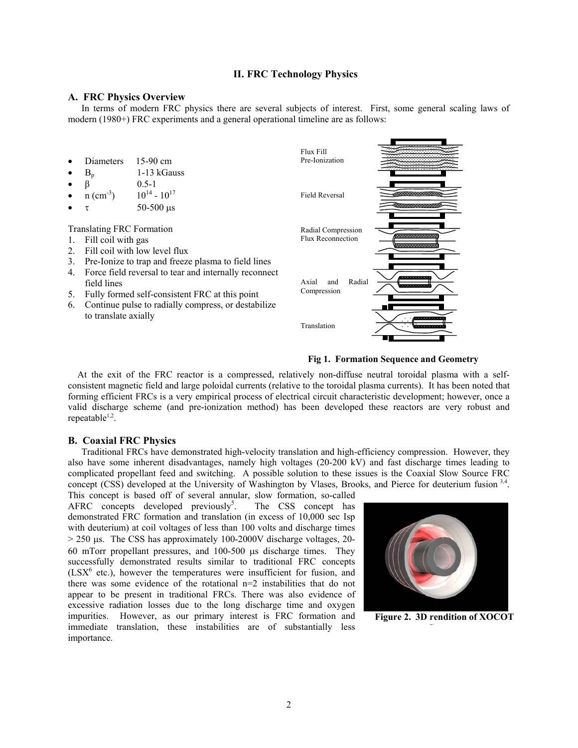## **II. FRC Technology Physics**

#### **A. FRC Physics Overview**

In terms of modern FRC physics there are several subjects of interest. First, some general scaling laws of modern (1980+) FRC experiments and a general operational timeline are as follows:

- Diameters 15-90 cm
- $B_n$  1-13 kGauss
- $β$  0.5-1
- $n (cm^{-3})$   $10^{14} 10^{17}$
- $τ$  50-500 μs

Translating FRC Formation

- 1. Fill coil with gas
- 2. Fill coil with low level flux
- 3. Pre-Ionize to trap and freeze plasma to field lines
- 4. Force field reversal to tear and internally reconnect field lines
- 5. Fully formed self-consistent FRC at this point
- 6. Continue pulse to radially compress, or destabilize to translate axially





 At the exit of the FRC reactor is a compressed, relatively non-diffuse neutral toroidal plasma with a selfconsistent magnetic field and large poloidal currents (relative to the toroidal plasma currents). It has been noted that forming efficient FRCs is a very empirical process of electrical circuit characteristic development; however, once a valid discharge scheme (and pre-ionization method) has been developed these reactors are very robust and repeatable<sup>1,2</sup>.

## **B. Coaxial FRC Physics**

Traditional FRCs have demonstrated high-velocity translation and high-efficiency compression. However, they also have some inherent disadvantages, namely high voltages (20-200 kV) and fast discharge times leading to complicated propellant feed and switching. A possible solution to these issues is the Coaxial Slow Source FRC concept (CSS) developed at the University of Washington by Vlases, Brooks, and Pierce for deuterium fusion  $3,4$ .

This concept is based off of several annular, slow formation, so-called  $AFRC$  concepts developed previously<sup>5</sup>. . The CSS concept has demonstrated FRC formation and translation (in excess of 10,000 sec Isp with deuterium) at coil voltages of less than 100 volts and discharge times > 250 µs. The CSS has approximately 100-2000V discharge voltages, 20- 60 mTorr propellant pressures, and 100-500 µs discharge times. They successfully demonstrated results similar to traditional FRC concepts  $(LSX<sup>6</sup>$  etc.), however the temperatures were insufficient for fusion, and there was some evidence of the rotational n=2 instabilities that do not appear to be present in traditional FRCs. There was also evidence of excessive radiation losses due to the long discharge time and oxygen impurities. However, as our primary interest is FRC formation and immediate translation, these instabilities are of substantially less importance.



**Figure 2. 3D rendition of XOCOT**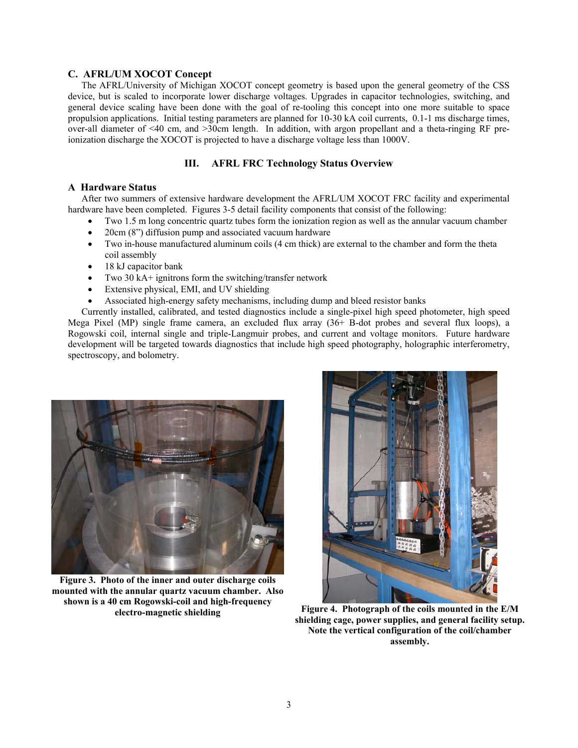# **C. AFRL/UM XOCOT Concept**

The AFRL/University of Michigan XOCOT concept geometry is based upon the general geometry of the CSS device, but is scaled to incorporate lower discharge voltages. Upgrades in capacitor technologies, switching, and general device scaling have been done with the goal of re-tooling this concept into one more suitable to space propulsion applications. Initial testing parameters are planned for 10-30 kA coil currents, 0.1-1 ms discharge times, over-all diameter of <40 cm, and >30cm length. In addition, with argon propellant and a theta-ringing RF preionization discharge the XOCOT is projected to have a discharge voltage less than 1000V.

# **III. AFRL FRC Technology Status Overview**

# **A Hardware Status**

After two summers of extensive hardware development the AFRL/UM XOCOT FRC facility and experimental hardware have been completed. Figures 3-5 detail facility components that consist of the following:

- Two 1.5 m long concentric quartz tubes form the ionization region as well as the annular vacuum chamber
- 20cm (8") diffusion pump and associated vacuum hardware
- Two in-house manufactured aluminum coils (4 cm thick) are external to the chamber and form the theta coil assembly
- 18 kJ capacitor bank
- Two 30 kA+ ignitrons form the switching/transfer network
- Extensive physical, EMI, and UV shielding
- Associated high-energy safety mechanisms, including dump and bleed resistor banks

Currently installed, calibrated, and tested diagnostics include a single-pixel high speed photometer, high speed Mega Pixel (MP) single frame camera, an excluded flux array (36+ B-dot probes and several flux loops), a Rogowski coil, internal single and triple-Langmuir probes, and current and voltage monitors. Future hardware development will be targeted towards diagnostics that include high speed photography, holographic interferometry, spectroscopy, and bolometry.



**Figure 3. Photo of the inner and outer discharge coils mounted with the annular quartz vacuum chamber. Also shown is a 40 cm Rogowski-coil and high-frequency** 



**electro-magnetic shielding Figure 4. Photograph of the coils mounted in the E/M shielding cage, power supplies, and general facility setup. Note the vertical configuration of the coil/chamber assembly.**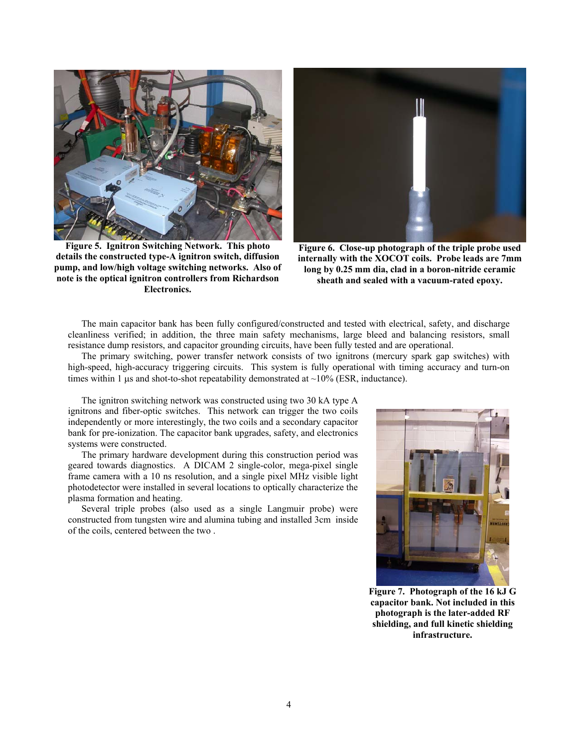

**Figure 5. Ignitron Switching Network. This photo details the constructed type-A ignitron switch, diffusion pump, and low/high voltage switching networks. Also of note is the optical ignitron controllers from Richardson Electronics.** 



**Figure 6. Close-up photograph of the triple probe used internally with the XOCOT coils. Probe leads are 7mm long by 0.25 mm dia, clad in a boron-nitride ceramic sheath and sealed with a vacuum-rated epoxy.** 

The main capacitor bank has been fully configured/constructed and tested with electrical, safety, and discharge cleanliness verified; in addition, the three main safety mechanisms, large bleed and balancing resistors, small resistance dump resistors, and capacitor grounding circuits, have been fully tested and are operational.

The primary switching, power transfer network consists of two ignitrons (mercury spark gap switches) with high-speed, high-accuracy triggering circuits. This system is fully operational with timing accuracy and turn-on times within 1  $\mu$ s and shot-to-shot repeatability demonstrated at  $\sim$ 10% (ESR, inductance).

 The ignitron switching network was constructed using two 30 kA type A ignitrons and fiber-optic switches. This network can trigger the two coils independently or more interestingly, the two coils and a secondary capacitor bank for pre-ionization. The capacitor bank upgrades, safety, and electronics systems were constructed.

The primary hardware development during this construction period was geared towards diagnostics. A DICAM 2 single-color, mega-pixel single frame camera with a 10 ns resolution, and a single pixel MHz visible light photodetector were installed in several locations to optically characterize the plasma formation and heating.

Several triple probes (also used as a single Langmuir probe) were constructed from tungsten wire and alumina tubing and installed 3cm inside of the coils, centered between the two .



**Figure 7. Photograph of the 16 kJ G capacitor bank. Not included in this photograph is the later-added RF shielding, and full kinetic shielding infrastructure.**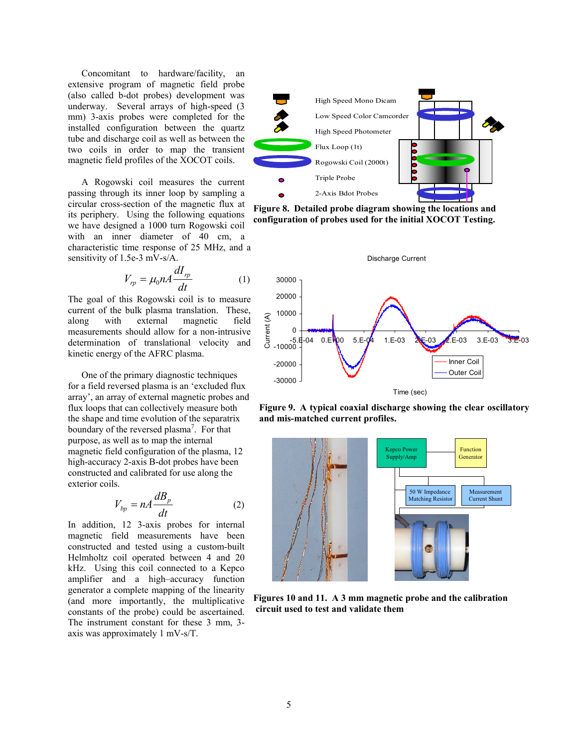Concomitant to hardware/facility, an extensive program of magnetic field probe (also called b-dot probes) development was underway. Several arrays of high-speed (3 mm) 3-axis probes were completed for the installed configuration between the quartz tube and discharge coil as well as between the two coils in order to map the transient magnetic field profiles of the XOCOT coils.

A Rogowski coil measures the current passing through its inner loop by sampling a circular cross-section of the magnetic flux at its periphery. Using the following equations we have designed a 1000 turn Rogowski coil with an inner diameter of 40 cm, a characteristic time response of 25 MHz, and a sensitivity of 1.5e-3 mV-s/A.

$$
V_{rp} = \mu_0 n A \frac{dI_{rp}}{dt} \tag{1}
$$

The goal of this Rogowski coil is to measure current of the bulk plasma translation. These, along with external magnetic field measurements should allow for a non-intrusive determination of translational velocity and kinetic energy of the AFRC plasma.

One of the primary diagnostic techniques for a field reversed plasma is an 'excluded flux array', an array of external magnetic probes and flux loops that can collectively measure both the shape and time evolution of the separatrix boundary of the reversed plasma<sup>7</sup>. For that purpose, as well as to map the internal magnetic field configuration of the plasma, 12 high-accuracy 2-axis B-dot probes have been constructed and calibrated for use along the exterior coils.

$$
V_{bp} = nA \frac{dB_p}{dt} \tag{2}
$$

In addition, 12 3-axis probes for internal magnetic field measurements have been constructed and tested using a custom-built Helmholtz coil operated between 4 and 20 kHz. Using this coil connected to a Kepco amplifier and a high–accuracy function generator a complete mapping of the linearity (and more importantly, the multiplicative constants of the probe) could be ascertained. The instrument constant for these 3 mm, 3 axis was approximately 1 mV-s/T.



**Figure 8. Detailed probe diagram showing the locations and configuration of probes used for the initial XOCOT Testing.**



**Figure 9. A typical coaxial discharge showing the clear oscillatory and mis-matched current profiles.** 



**Figures 10 and 11. A 3 mm magnetic probe and the calibration circuit used to test and validate them**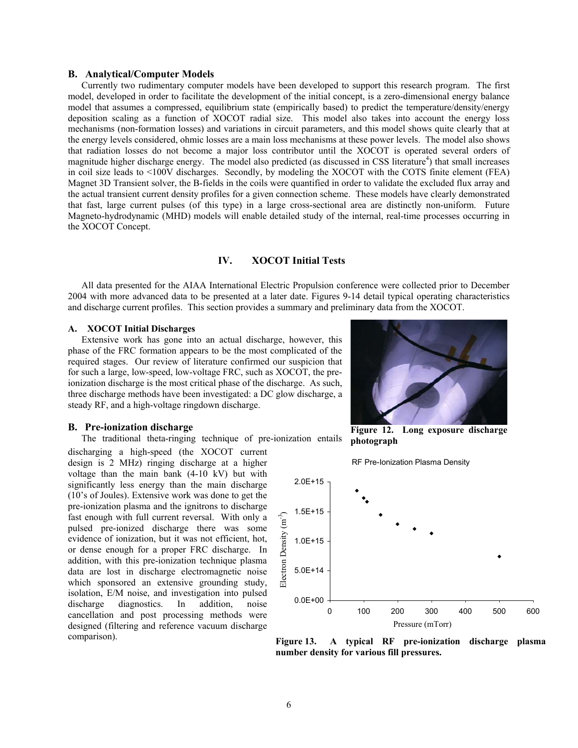### **B. Analytical/Computer Models**

Currently two rudimentary computer models have been developed to support this research program. The first model, developed in order to facilitate the development of the initial concept, is a zero-dimensional energy balance model that assumes a compressed, equilibrium state (empirically based) to predict the temperature/density/energy deposition scaling as a function of XOCOT radial size. This model also takes into account the energy loss mechanisms (non-formation losses) and variations in circuit parameters, and this model shows quite clearly that at the energy levels considered, ohmic losses are a main loss mechanisms at these power levels. The model also shows that radiation losses do not become a major loss contributor until the XOCOT is operated several orders of magnitude higher discharge energy. The model also predicted (as discussed in CSS literature<sup>4</sup>) that small increases in coil size leads to <100V discharges. Secondly, by modeling the XOCOT with the COTS finite element (FEA) Magnet 3D Transient solver, the B-fields in the coils were quantified in order to validate the excluded flux array and the actual transient current density profiles for a given connection scheme. These models have clearly demonstrated that fast, large current pulses (of this type) in a large cross-sectional area are distinctly non-uniform. Future Magneto-hydrodynamic (MHD) models will enable detailed study of the internal, real-time processes occurring in the XOCOT Concept.

# **IV. XOCOT Initial Tests**

All data presented for the AIAA International Electric Propulsion conference were collected prior to December 2004 with more advanced data to be presented at a later date. Figures 9-14 detail typical operating characteristics and discharge current profiles. This section provides a summary and preliminary data from the XOCOT.

#### **A. XOCOT Initial Discharges**

Extensive work has gone into an actual discharge, however, this phase of the FRC formation appears to be the most complicated of the required stages. Our review of literature confirmed our suspicion that for such a large, low-speed, low-voltage FRC, such as XOCOT, the preionization discharge is the most critical phase of the discharge. As such, three discharge methods have been investigated: a DC glow discharge, a steady RF, and a high-voltage ringdown discharge.

#### **B. Pre-ionization discharge**

The traditional theta-ringing technique of pre-ionization entails

discharging a high-speed (the XOCOT current design is 2 MHz) ringing discharge at a higher voltage than the main bank (4-10 kV) but with significantly less energy than the main discharge (10's of Joules). Extensive work was done to get the pre-ionization plasma and the ignitrons to discharge fast enough with full current reversal. With only a pulsed pre-ionized discharge there was some evidence of ionization, but it was not efficient, hot, or dense enough for a proper FRC discharge. In addition, with this pre-ionization technique plasma data are lost in discharge electromagnetic noise which sponsored an extensive grounding study, isolation, E/M noise, and investigation into pulsed discharge diagnostics. In addition, noise cancellation and post processing methods were designed (filtering and reference vacuum discharge comparison).



**Figure 12. Long exposure discharge photograph** 

RF Pre-Ionization Plasma Density



**Figure 13. A typical RF pre-ionization discharge plasma**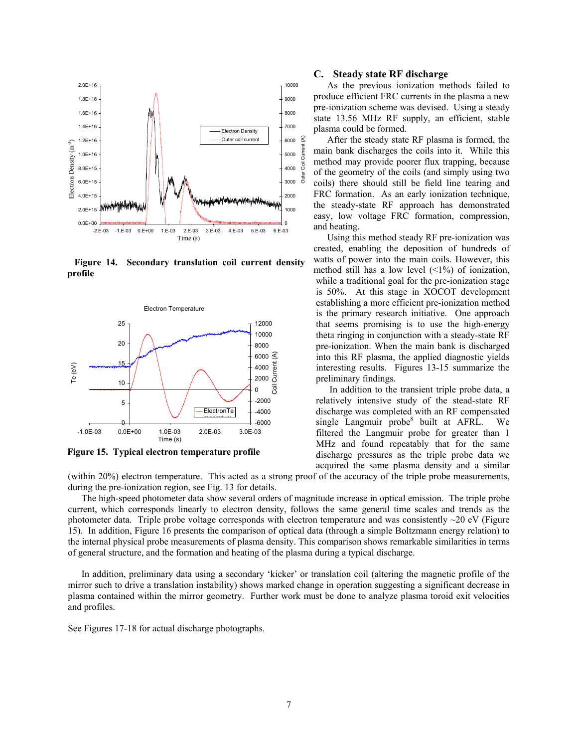

 **Figure 14. Secondary translation coil current density**



**Figure 15. Typical electron temperature profile** 

#### **C. Steady state RF discharge**

As the previous ionization methods failed to produce efficient FRC currents in the plasma a new pre-ionization scheme was devised. Using a steady state 13.56 MHz RF supply, an efficient, stable plasma could be formed.

After the steady state RF plasma is formed, the main bank discharges the coils into it. While this method may provide poorer flux trapping, because of the geometry of the coils (and simply using two coils) there should still be field line tearing and FRC formation. As an early ionization technique, the steady-state RF approach has demonstrated easy, low voltage FRC formation, compression, and heating.

Using this method steady RF pre-ionization was created, enabling the deposition of hundreds of watts of power into the main coils. However, this method still has a low level  $($  <1%) of ionization, while a traditional goal for the pre-ionization stage is 50%. At this stage in XOCOT development establishing a more efficient pre-ionization method is the primary research initiative. One approach that seems promising is to use the high-energy theta ringing in conjunction with a steady-state RF pre-ionization. When the main bank is discharged into this RF plasma, the applied diagnostic yields interesting results. Figures 13-15 summarize the preliminary findings.

In addition to the transient triple probe data, a relatively intensive study of the stead-state RF discharge was completed with an RF compensated single Langmuir probe<sup>8</sup> built at AFRL. We filtered the Langmuir probe for greater than 1 MHz and found repeatably that for the same discharge pressures as the triple probe data we acquired the same plasma density and a similar

(within 20%) electron temperature. This acted as a strong proof of the accuracy of the triple probe measurements, during the pre-ionization region, see Fig. 13 for details.

The high-speed photometer data show several orders of magnitude increase in optical emission. The triple probe current, which corresponds linearly to electron density, follows the same general time scales and trends as the photometer data. Triple probe voltage corresponds with electron temperature and was consistently ~20 eV (Figure 15). In addition, Figure 16 presents the comparison of optical data (through a simple Boltzmann energy relation) to the internal physical probe measurements of plasma density. This comparison shows remarkable similarities in terms of general structure, and the formation and heating of the plasma during a typical discharge.

In addition, preliminary data using a secondary 'kicker' or translation coil (altering the magnetic profile of the mirror such to drive a translation instability) shows marked change in operation suggesting a significant decrease in plasma contained within the mirror geometry. Further work must be done to analyze plasma toroid exit velocities and profiles.

See Figures 17-18 for actual discharge photographs.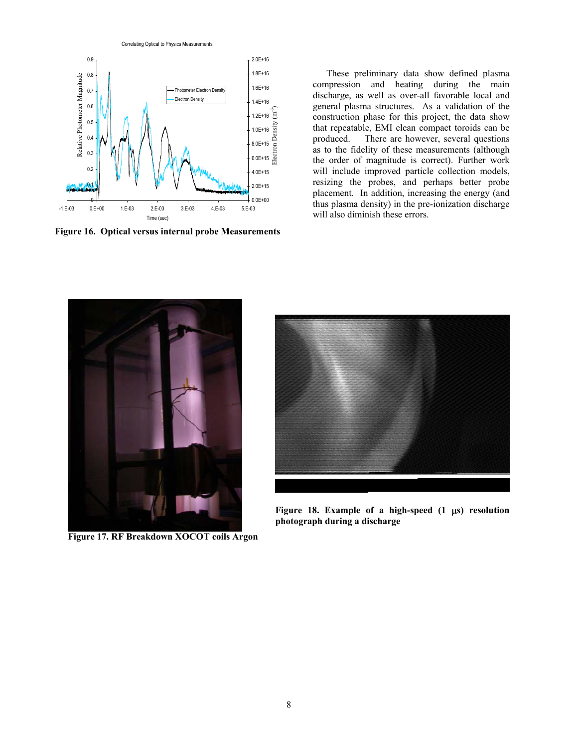Correlating Optical to Physics Measurements



These preliminary data show defined plasma compression and heating during the main discharge, as well as over-all favorable local and general plasma structures. As a validation of the construction phase for this project, the data show that repeatable, EMI clean compact toroids can be produced. There are however, several questions as to the fidelity of these measurements (although the order of magnitude is correct). Further work will include improved particle collection models, resizing the probes, and perhaps better probe placement. In addition, increasing the energy (and thus plasma density) in the pre-ionization discharge will also diminish these errors.



**Figure 17. RF Breakdown XOCOT coils Argon** 



**Figure 18. Example of a high-speed (1** µ**s) resolution photograph during a discharge**